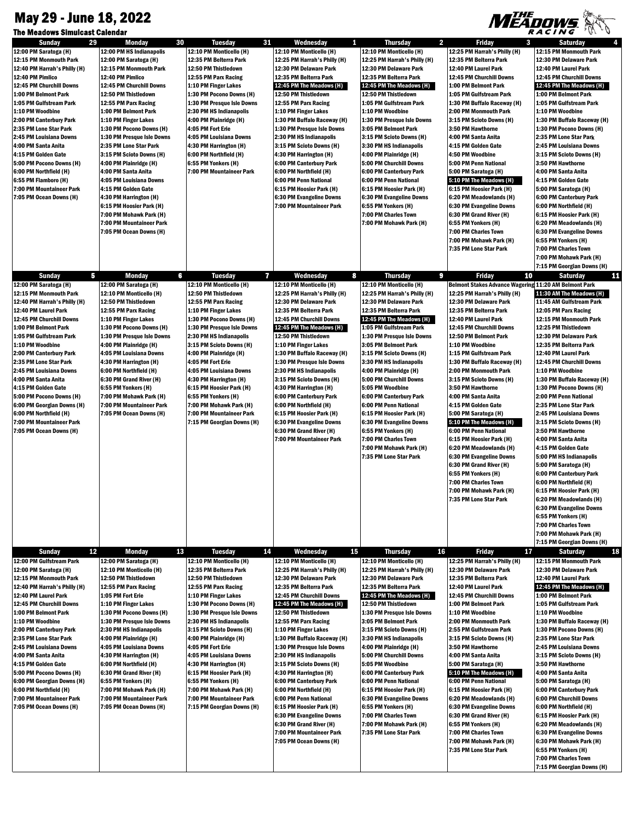## May 29 - June 18, 2022



| <b>Sunday</b><br>29<br>12:00 PM Saratoga (H) | The Meadows Simulcast Calendar                     |                                                 |                                                             |                                                 |                                                            | RACING IN V                                       |
|----------------------------------------------|----------------------------------------------------|-------------------------------------------------|-------------------------------------------------------------|-------------------------------------------------|------------------------------------------------------------|---------------------------------------------------|
|                                              | <b>Monday</b><br>30                                | 31<br><b>Tuesday</b>                            | Wednesday<br>1.                                             | $\overline{2}$<br><b>Thursday</b>               | Friday<br>3                                                | 4<br><b>Saturday</b>                              |
|                                              | 12:00 PM HS Indianapolis                           | 12:10 PM Monticello (H)                         | 12:10 PM Monticello (H)                                     | 12:10 PM Monticello (H)                         | 12:25 PM Harrah's Philly (H)                               | 12:15 PM Monmouth Park                            |
| 12:15 PM Monmouth Park                       | 12:00 PM Saratoga (H)                              | 12:35 PM Belterra Park                          | 12:25 PM Harrah's Philly (H)                                | 12:25 PM Harrah's Philly (H)                    | 12:35 PM Belterra Park                                     | 12:30 PM Delaware Park                            |
| 12:40 PM Harrah's Philly (H)                 | 12:15 PM Monmouth Park                             | 12:50 PM Thistledown                            | 12:30 PM Delaware Park                                      | 12:30 PM Delaware Park                          | 12:40 PM Laurel Park                                       | 12:40 PM Laurel Park                              |
| 12:40 PM Pimlico                             | 12:40 PM Pimlico                                   | 12:55 PM Parx Racing                            | 12:35 PM Belterra Park                                      | 12:35 PM Belterra Park                          | 12:45 PM Churchill Downs                                   | 12:45 PM Churchill Downs                          |
| 12:45 PM Churchill Downs                     | 12:45 PM Churchill Downs                           | 1:10 PM Finger Lakes                            | 12:45 PM The Meadows (H)                                    | 12:45 PM The Meadows (H)                        | 1:00 PM Belmont Park                                       | 12:45 PM The Meadows (H)                          |
| 1:00 PM Belmont Park                         | 12:50 PM Thistledown                               | 1:30 PM Pocono Downs (H)                        | 12:50 PM Thistledown                                        | 12:50 PM Thistledown                            | 1:05 PM Gulfstream Park                                    | 1:00 PM Belmont Park                              |
| 1:05 PM Gulfstream Park                      | 12:55 PM Parx Racing                               | 1:30 PM Presque Isle Downs                      | 12:55 PM Parx Racing                                        | 1:05 PM Gulfstream Park                         | 1:30 PM Buffalo Raceway (H)                                | 1:05 PM Gulfstream Park                           |
| 1:10 PM Woodbine                             | 1:00 PM Belmont Park                               | 2:30 PM HS Indianapolis                         | 1:10 PM Finger Lakes                                        | 1:10 PM Woodbine                                | 2:00 PM Monmouth Park                                      | 1:10 PM Woodbine                                  |
| 2:00 PM Canterbury Park                      | 1:10 PM Finger Lakes                               | 4:00 PM Plainridge (H)                          | 1:30 PM Buffalo Raceway (H)                                 | 1:30 PM Presque Isle Downs                      | 3:15 PM Scioto Downs (H)                                   | 1:30 PM Buffalo Raceway (H)                       |
| 2:35 PM Lone Star Park                       | 1:30 PM Pocono Downs (H)                           | 4:05 PM Fort Erie                               | 1:30 PM Presque Isle Downs                                  | 3:05 PM Belmont Park                            | 3:50 PM Hawthorne                                          | 1:30 PM Pocono Downs (H)                          |
| 2:45 PM Louisiana Downs                      | 1:30 PM Presque Isle Downs                         | 4:05 PM Louisiana Downs                         | 2:30 PM HS Indianapolis                                     | 3:15 PM Scioto Downs (H)                        | 4:00 PM Santa Anita                                        | 2:35 PM Lone Star Park                            |
| 4:00 PM Santa Anita                          | 2:35 PM Lone Star Park                             | 4:30 PM Harrington (H)                          | 3:15 PM Scioto Downs (H)                                    | 3:30 PM HS Indianapolis                         | 4:15 PM Golden Gate                                        | 2:45 PM Louisiana Downs                           |
| 4:15 PM Golden Gate                          | 3:15 PM Scioto Downs (H)                           | 6:00 PM Northfield (H)                          | 4:30 PM Harrington (H)                                      | 4:00 PM Plainridge (H)                          | 4:50 PM Woodbine                                           | 3:15 PM Scioto Downs (H)                          |
| 5:00 PM Pocono Downs (H)                     | 4:00 PM Plainridge (H)                             | 6:55 PM Yonkers (H)<br>7:00 PM Mountaineer Park | 6:00 PM Canterbury Park                                     | 5:00 PM Churchill Downs                         | 5:00 PM Penn National                                      | 3:50 PM Hawthorne                                 |
| 6:00 PM Northfield (H)                       | 4:00 PM Santa Anita                                |                                                 | 6:00 PM Northfield (H)                                      | 6:00 PM Canterbury Park                         | 5:00 PM Saratoga (H)                                       | 4:00 PM Santa Anita                               |
| 6:55 PM Flamboro (H)                         | 4:05 PM Louisiana Downs                            |                                                 | 6:00 PM Penn National                                       | 6:00 PM Penn National                           | 5:10 PM The Meadows (H)                                    | 4:15 PM Golden Gate                               |
| 7:00 PM Mountaineer Park                     | 4:15 PM Golden Gate                                |                                                 | 6:15 PM Hoosier Park (H)                                    | 6:15 PM Hoosier Park (H)                        | 6:15 PM Hoosier Park (H)                                   | 5:00 PM Saratoga (H)                              |
| 7:05 PM Ocean Downs (H)                      | 4:30 PM Harrington (H)<br>6:15 PM Hoosier Park (H) |                                                 | <b>6:30 PM Evangeline Downs</b><br>7:00 PM Mountaineer Park | 6:30 PM Evangeline Downs<br>6:55 PM Yonkers (H) | 6:20 PM Meadowlands (H)<br><b>6:30 PM Evangeline Downs</b> | 6:00 PM Canterbury Park<br>6:00 PM Northfield (H) |
|                                              | 7:00 PM Mohawk Park (H)                            |                                                 |                                                             | 7:00 PM Charles Town                            | 6:30 PM Grand River (H)                                    | 6:15 PM Hoosier Park (H)                          |
|                                              | 7:00 PM Mountaineer Park                           |                                                 |                                                             | 7:00 PM Mohawk Park (H)                         | 6:55 PM Yonkers (H)                                        | 6:20 PM Meadowlands (H)                           |
|                                              | 7:05 PM Ocean Downs (H)                            |                                                 |                                                             |                                                 | 7:00 PM Charles Town                                       | <b>6:30 PM Evangeline Downs</b>                   |
|                                              |                                                    |                                                 |                                                             |                                                 | 7:00 PM Mohawk Park (H)                                    | 6:55 PM Yonkers (H)                               |
|                                              |                                                    |                                                 |                                                             |                                                 | 7:35 PM Lone Star Park                                     | 7:00 PM Charles Town                              |
|                                              |                                                    |                                                 |                                                             |                                                 |                                                            | 7:00 PM Mohawk Park (H)                           |
|                                              |                                                    |                                                 |                                                             |                                                 |                                                            | 7:15 PM Georgian Downs (H)                        |
| 5<br><b>Sunday</b>                           | 6<br><b>Monday</b>                                 | $\mathcal{U}$<br><b>Tuesday</b>                 | 8<br>Wednesday                                              | $\boldsymbol{9}$<br><b>Thursday</b>             | <b>Friday</b><br>10                                        | 11<br><b>Saturday</b>                             |
| 12:00 PM Saratoga (H)                        | 12:00 PM Saratoga (H)                              | 12:10 PM Monticello (H)                         | 12:10 PM Monticello (H)                                     | 12:10 PM Monticello (H)                         | Belmont Stakes Advance Wagering 11:20 AM Belmont Park      |                                                   |
| 12:15 PM Monmouth Park                       | 12:10 PM Monticello (H)                            | 12:50 PM Thistledown                            | 12:25 PM Harrah's Philly (H)                                | 12:25 PM Harrah's Philly (H)                    | 12:25 PM Harrah's Philly (H)                               | 11:30 AM The Meadows (H)                          |
| 12:40 PM Harrah's Philly (H)                 | 12:50 PM Thistledown                               | 12:55 PM Parx Racing                            | 12:30 PM Delaware Park                                      | 12:30 PM Delaware Park                          | 12:30 PM Delaware Park                                     | 11:45 AM Gulfstream Park                          |
| 12:40 PM Laurel Park                         | 12:55 PM Parx Racing                               | 1:10 PM Finger Lakes                            | 12:35 PM Belterra Park                                      | 12:35 PM Belterra Park                          | 12:35 PM Belterra Park                                     | 12:05 PM Parx Racing                              |
| 12:45 PM Churchill Downs                     | 1:10 PM Finger Lakes                               | 1:30 PM Pocono Downs (H)                        | 12:45 PM Churchill Downs                                    | 12:45 PM The Meadows (H)                        | 12:40 PM Laurel Park                                       | 12:15 PM Monmouth Park                            |
| 1:00 PM Belmont Park                         | 1:30 PM Pocono Downs (H)                           | 1:30 PM Presque Isle Downs                      | 12:45 PM The Meadows (H)                                    | 1:05 PM Gulfstream Park                         | 12:45 PM Churchill Downs                                   | 12:25 PM Thistledown                              |
| 1:05 PM Gulfstream Park                      | 1:30 PM Presque Isle Downs                         | 2:30 PM HS Indianapolis                         | 12:50 PM Thistledown                                        | 1:30 PM Presque Isle Downs                      | 12:50 PM Belmont Park                                      | 12:30 PM Delaware Park                            |
| 1:10 PM Woodbine                             | 4:00 PM Plainridge (H)                             | 3:15 PM Scioto Downs (H)                        | 1:10 PM Finger Lakes                                        | 3:05 PM Belmont Park                            | 1:10 PM Woodbine                                           | 12:35 PM Belterra Park                            |
| 2:00 PM Canterbury Park                      | 4:05 PM Louisiana Downs                            | 4:00 PM Plainridge (H)                          | 1:30 PM Buffalo Raceway (H)                                 | 3:15 PM Scioto Downs (H)                        | 1:15 PM Gulfstream Park                                    | 12:40 PM Laurel Park                              |
| 2:35 PM Lone Star Park                       | 4:30 PM Harrington (H)                             | 4:05 PM Fort Erie                               | 1:30 PM Presque Isle Downs                                  | 3:30 PM HS Indianapolis                         | 1:30 PM Buffalo Raceway (H)                                | 12:45 PM Churchill Downs                          |
| 2:45 PM Louisiana Downs                      | 6:00 PM Northfield (H)                             | 4:05 PM Louisiana Downs                         | 2:30 PM HS Indianapolis                                     | 4:00 PM Plainridge (H)                          | 2:00 PM Monmouth Park                                      | 1:10 PM Woodbine                                  |
| 4:00 PM Santa Anita                          | 6:30 PM Grand River (H)                            | 4:30 PM Harrington (H)                          | 3:15 PM Scioto Downs (H)                                    | 5:00 PM Churchill Downs                         | 3:15 PM Scioto Downs (H)                                   | 1:30 PM Buffalo Raceway (H)                       |
| 4:15 PM Golden Gate                          | 6:55 PM Yonkers (H)                                | 6:15 PM Hoosier Park (H)                        | 4:30 PM Harrington (H)                                      | 5:05 PM Woodbine                                | 3:50 PM Hawthorne                                          | 1:30 PM Pocono Downs (H)                          |
| 5:00 PM Pocono Downs (H)                     | 7:00 PM Mohawk Park (H)                            | 6:55 PM Yonkers (H)                             | 6:00 PM Canterbury Park                                     | 6:00 PM Canterbury Park                         | 4:00 PM Santa Anita                                        | 2:00 PM Penn National                             |
| 6:00 PM Georgian Downs (H)                   | 7:00 PM Mountaineer Park                           | 7:00 PM Mohawk Park (H)                         | 6:00 PM Northfield (H)                                      | 6:00 PM Penn National                           | 4:15 PM Golden Gate                                        | 2:35 PM Lone Star Park                            |
| 6:00 PM Northfield (H)                       | 7:05 PM Ocean Downs (H)                            | 7:00 PM Mountaineer Park                        | 6:15 PM Hoosier Park (H)                                    | 6:15 PM Hoosier Park (H)                        | 5:00 PM Saratoga (H)                                       | 2:45 PM Louisiana Downs                           |
| 7:00 PM Mountaineer Park                     |                                                    | 7:15 PM Georgian Downs (H)                      | <b>6:30 PM Evangeline Downs</b>                             | <b>6:30 PM Evangeline Downs</b>                 | 5:10 PM The Meadows (H)                                    | 3:15 PM Scioto Downs (H)                          |
| 7:05 PM Ocean Downs (H)                      |                                                    |                                                 | 6:30 PM Grand River (H)                                     | 6:55 PM Yonkers (H)                             | 6:00 PM Penn National                                      | 3:50 PM Hawthorne                                 |
|                                              |                                                    |                                                 | 7:00 PM Mountaineer Park                                    | 7:00 PM Charles Town                            | 6:15 PM Hoosier Park (H)                                   | 4:00 PM Santa Anita                               |
|                                              |                                                    |                                                 |                                                             | 7:00 PM Mohawk Park (H)                         | 6:20 PM Meadowlands (H)                                    | 4:15 PM Golden Gate                               |
|                                              |                                                    |                                                 |                                                             | 7:35 PM Lone Star Park                          | 6:30 PM Evangeline Downs                                   | 5:00 PM HS Indianapolis                           |
|                                              |                                                    |                                                 |                                                             |                                                 |                                                            |                                                   |
|                                              |                                                    |                                                 |                                                             |                                                 | 6:30 PM Grand River (H)                                    | 5:00 PM Saratoga (H)                              |
|                                              |                                                    |                                                 |                                                             |                                                 | 6:55 PM Yonkers (H)                                        | 6:00 PM Canterbury Park                           |
|                                              |                                                    |                                                 |                                                             |                                                 | 7:00 PM Charles Town                                       | 6:00 PM Northfield (H)                            |
|                                              |                                                    |                                                 |                                                             |                                                 | 7:00 PM Mohawk Park (H)                                    | 6:15 PM Hoosier Park (H)                          |
|                                              |                                                    |                                                 |                                                             |                                                 | 7:35 PM Lone Star Park                                     | 6:20 PM Meadowlands (H)                           |
|                                              |                                                    |                                                 |                                                             |                                                 |                                                            | <b>6:30 PM Evangeline Downs</b>                   |
|                                              |                                                    |                                                 |                                                             |                                                 |                                                            | 6:55 PM Yonkers (H)                               |
|                                              |                                                    |                                                 |                                                             |                                                 |                                                            | 7:00 PM Charles Town                              |
|                                              |                                                    |                                                 |                                                             |                                                 |                                                            | 7:00 PM Mohawk Park (H)                           |
|                                              |                                                    |                                                 |                                                             |                                                 |                                                            | 7:15 PM Georgian Downs (H)                        |
| 12<br><b>Sunday</b>                          | <b>Monday</b><br>13                                | <b>Tuesday</b><br>14                            | Wednesday<br>15                                             | <b>Thursday</b><br>16                           | Friday<br>17                                               | <b>Saturday</b>                                   |
| 12:00 PM Gulfstream Park                     | 12:00 PM Saratoga (H)                              | 12:10 PM Monticello (H)                         | 12:10 PM Monticello (H)                                     | 12:10 PM Monticello (H)                         | 12:25 PM Harrah's Philly (H)                               | 12:15 PM Monmouth Park                            |
| 12:00 PM Saratoga (H)                        | 12:10 PM Monticello (H)                            | 12:35 PM Belterra Park                          | 12:25 PM Harrah's Philly (H)                                | 12:25 PM Harrah's Philly (H)                    | 12:30 PM Delaware Park                                     | 12:30 PM Delaware Park                            |
| 12:15 PM Monmouth Park                       | 12:50 PM Thistledown                               | 12:50 PM Thistledown                            | 12:30 PM Delaware Park                                      | 12:30 PM Delaware Park                          | 12:35 PM Belterra Park                                     | 12:40 PM Laurel Park                              |
| 12:40 PM Harrah's Philly (H)                 | 12:55 PM Parx Racing                               | 12:55 PM Parx Racing                            | 12:35 PM Belterra Park                                      | 12:35 PM Belterra Park                          | 12:40 PM Laurel Park                                       | 12:45 PM The Meadows (H)                          |
| 12:40 PM Laurel Park                         | 1:05 PM Fort Erie                                  | 1:10 PM Finger Lakes                            | 12:45 PM Churchill Downs                                    | 12:45 PM The Meadows (H)                        | 12:45 PM Churchill Downs                                   | 1:00 PM Belmont Park                              |
| 12:45 PM Churchill Downs                     | 1:10 PM Finger Lakes                               | 1:30 PM Pocono Downs (H)                        | 12:45 PM The Meadows (H)                                    | 12:50 PM Thistledown                            | 1:00 PM Belmont Park                                       | 1:05 PM Gulfstream Park                           |
| 1:00 PM Belmont Park                         | 1:30 PM Pocono Downs (H)                           | 1:30 PM Presque Isle Downs                      | 12:50 PM Thistledown                                        | 1:30 PM Presque Isle Downs                      | 1:10 PM Woodbine                                           | 1:10 PM Woodbine                                  |
| 1:10 PM Woodbine                             | 1:30 PM Presque Isle Downs                         | 2:30 PM HS Indianapolis                         | 12:55 PM Parx Racing                                        | 3:05 PM Belmont Park                            | 2:00 PM Monmouth Park                                      | 1:30 PM Buffalo Raceway (H)                       |
| 2:00 PM Canterbury Park                      | 2:30 PM HS Indianapolis                            | 3:15 PM Scioto Downs (H)                        | 1:10 PM Finger Lakes                                        | 3:15 PM Scioto Downs (H)                        | 2:55 PM Gulfstream Park                                    | 1:30 PM Pocono Downs (H)                          |
| 2:35 PM Lone Star Park                       | 4:00 PM Plainridge (H)                             | 4:00 PM Plainridge (H)                          | 1:30 PM Buffalo Raceway (H)                                 | 3:30 PM HS Indianapolis                         | 3:15 PM Scioto Downs (H)                                   | 2:35 PM Lone Star Park                            |
| 2:45 PM Louisiana Downs                      | 4:05 PM Louisiana Downs                            | 4:05 PM Fort Erie                               | 1:30 PM Presque Isle Downs                                  | 4:00 PM Plainridge (H)                          | 3:50 PM Hawthorne                                          | 2:45 PM Louisiana Downs                           |
| 4:00 PM Santa Anita                          | 4:30 PM Harrington (H)                             | 4:05 PM Louisiana Downs                         | 2:30 PM HS Indianapolis                                     | 5:00 PM Churchill Downs                         | 4:00 PM Santa Anita                                        | 3:15 PM Scioto Downs (H)                          |
| 4:15 PM Golden Gate                          | 6:00 PM Northfield (H)                             | 4:30 PM Harrington (H)                          | 3:15 PM Scioto Downs (H)                                    | 5:05 PM Woodbine                                | 5:00 PM Saratoga (H)                                       | 3:50 PM Hawthorne                                 |
| 5:00 PM Pocono Downs (H)                     | 6:30 PM Grand River (H)                            | 6:15 PM Hoosier Park (H)                        | 4:30 PM Harrington (H)                                      | 6:00 PM Canterbury Park                         | 5:10 PM The Meadows (H)                                    | 4:00 PM Santa Anita                               |
| 6:00 PM Georgian Downs (H)                   | 6:55 PM Yonkers (H)                                | 6:55 PM Yonkers (H)                             | 6:00 PM Canterbury Park                                     | 6:00 PM Penn National                           | 6:00 PM Penn National                                      | 5:00 PM Saratoga (H)                              |
| 6:00 PM Northfield (H)                       | 7:00 PM Mohawk Park (H)                            | 7:00 PM Mohawk Park (H)                         | 6:00 PM Northfield (H)                                      | 6:15 PM Hoosier Park (H)                        | 6:15 PM Hoosier Park (H)                                   | 6:00 PM Canterbury Park                           |
| 7:00 PM Mountaineer Park                     | 7:00 PM Mountaineer Park                           | 7:00 PM Mountaineer Park                        | 6:00 PM Penn National                                       | 6:30 PM Evangeline Downs                        | 6:20 PM Meadowlands (H)                                    | 6:00 PM Churchill Downs                           |
| 7:05 PM Ocean Downs (H)                      | 7:05 PM Ocean Downs (H)                            | 7:15 PM Georgian Downs (H)                      | 6:15 PM Hoosier Park (H)                                    | 6:55 PM Yonkers (H)                             | <b>6:30 PM Evangeline Downs</b>                            | 6:00 PM Northfield (H)                            |
|                                              |                                                    |                                                 | <b>6:30 PM Evangeline Downs</b>                             | 7:00 PM Charles Town                            | 6:30 PM Grand River (H)                                    | 6:15 PM Hoosier Park (H)                          |
|                                              |                                                    |                                                 | 6:30 PM Grand River (H)                                     | 7:00 PM Mohawk Park (H)                         | 6:55 PM Yonkers (H)                                        | 6:20 PM Meadowlands (H)                           |
|                                              |                                                    |                                                 | 7:00 PM Mountaineer Park                                    | 7:35 PM Lone Star Park                          | 7:00 PM Charles Town                                       | 18<br><b>6:30 PM Evangeline Downs</b>             |
|                                              |                                                    |                                                 | 7:05 PM Ocean Downs (H)                                     |                                                 | 7:00 PM Mohawk Park (H)                                    | 6:30 PM Mohawk Park (H)                           |
|                                              |                                                    |                                                 |                                                             |                                                 | 7:35 PM Lone Star Park                                     | 6:55 PM Yonkers (H)<br>7:00 PM Charles Town       |